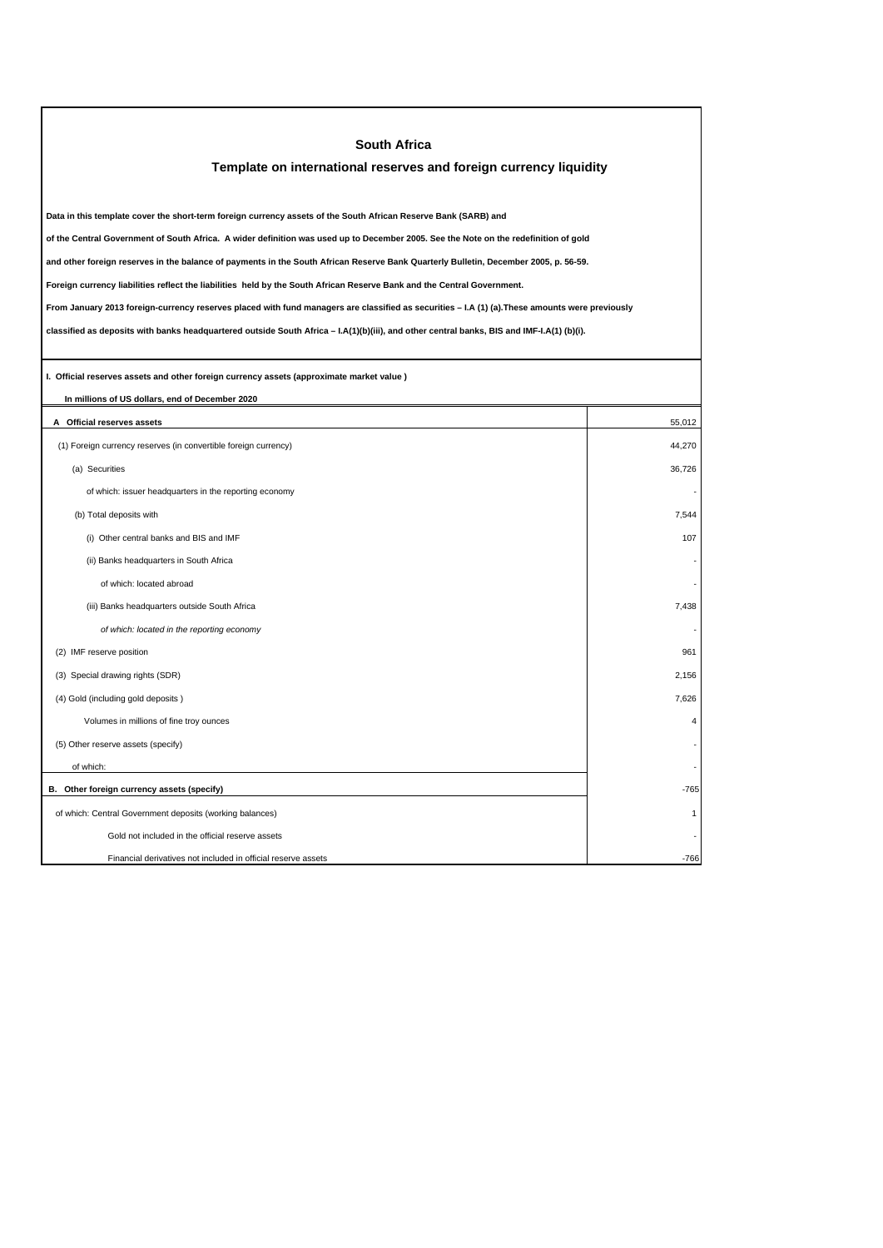| <b>South Africa</b>                                                                                                                             |                |  |  |  |
|-------------------------------------------------------------------------------------------------------------------------------------------------|----------------|--|--|--|
| Template on international reserves and foreign currency liquidity                                                                               |                |  |  |  |
|                                                                                                                                                 |                |  |  |  |
| Data in this template cover the short-term foreign currency assets of the South African Reserve Bank (SARB) and                                 |                |  |  |  |
| of the Central Government of South Africa. A wider definition was used up to December 2005. See the Note on the redefinition of gold            |                |  |  |  |
| and other foreign reserves in the balance of payments in the South African Reserve Bank Quarterly Bulletin, December 2005, p. 56-59.            |                |  |  |  |
| Foreign currency liabilities reflect the liabilities held by the South African Reserve Bank and the Central Government.                         |                |  |  |  |
| From January 2013 foreign-currency reserves placed with fund managers are classified as securities - I.A (1) (a). These amounts were previously |                |  |  |  |
| classified as deposits with banks headquartered outside South Africa - I.A(1)(b)(iii), and other central banks, BIS and IMF-I.A(1) (b)(i).      |                |  |  |  |
|                                                                                                                                                 |                |  |  |  |
| I. Official reserves assets and other foreign currency assets (approximate market value)                                                        |                |  |  |  |
| In millions of US dollars, end of December 2020                                                                                                 |                |  |  |  |
| A Official reserves assets                                                                                                                      | 55,012         |  |  |  |
| (1) Foreign currency reserves (in convertible foreign currency)                                                                                 | 44,270         |  |  |  |
| (a) Securities                                                                                                                                  | 36.726         |  |  |  |
| of which: issuer headquarters in the reporting economy                                                                                          |                |  |  |  |
| (b) Total deposits with                                                                                                                         | 7,544          |  |  |  |
| (i) Other central banks and BIS and IMF                                                                                                         | 107            |  |  |  |
| (ii) Banks headquarters in South Africa                                                                                                         |                |  |  |  |
| of which: located abroad                                                                                                                        |                |  |  |  |
| (iii) Banks headquarters outside South Africa                                                                                                   | 7,438          |  |  |  |
| of which: located in the reporting economy                                                                                                      |                |  |  |  |
| (2) IMF reserve position                                                                                                                        | 961            |  |  |  |
| (3) Special drawing rights (SDR)                                                                                                                | 2,156          |  |  |  |
| (4) Gold (including gold deposits)                                                                                                              | 7,626          |  |  |  |
| Volumes in millions of fine troy ounces                                                                                                         | $\overline{4}$ |  |  |  |
| (5) Other reserve assets (specify)                                                                                                              |                |  |  |  |
| of which:                                                                                                                                       |                |  |  |  |
| B. Other foreign currency assets (specify)                                                                                                      | -765           |  |  |  |
| of which: Central Government deposits (working balances)                                                                                        | 1              |  |  |  |
| Gold not included in the official reserve assets                                                                                                |                |  |  |  |
| Financial derivatives not included in official reserve assets                                                                                   | $-766$         |  |  |  |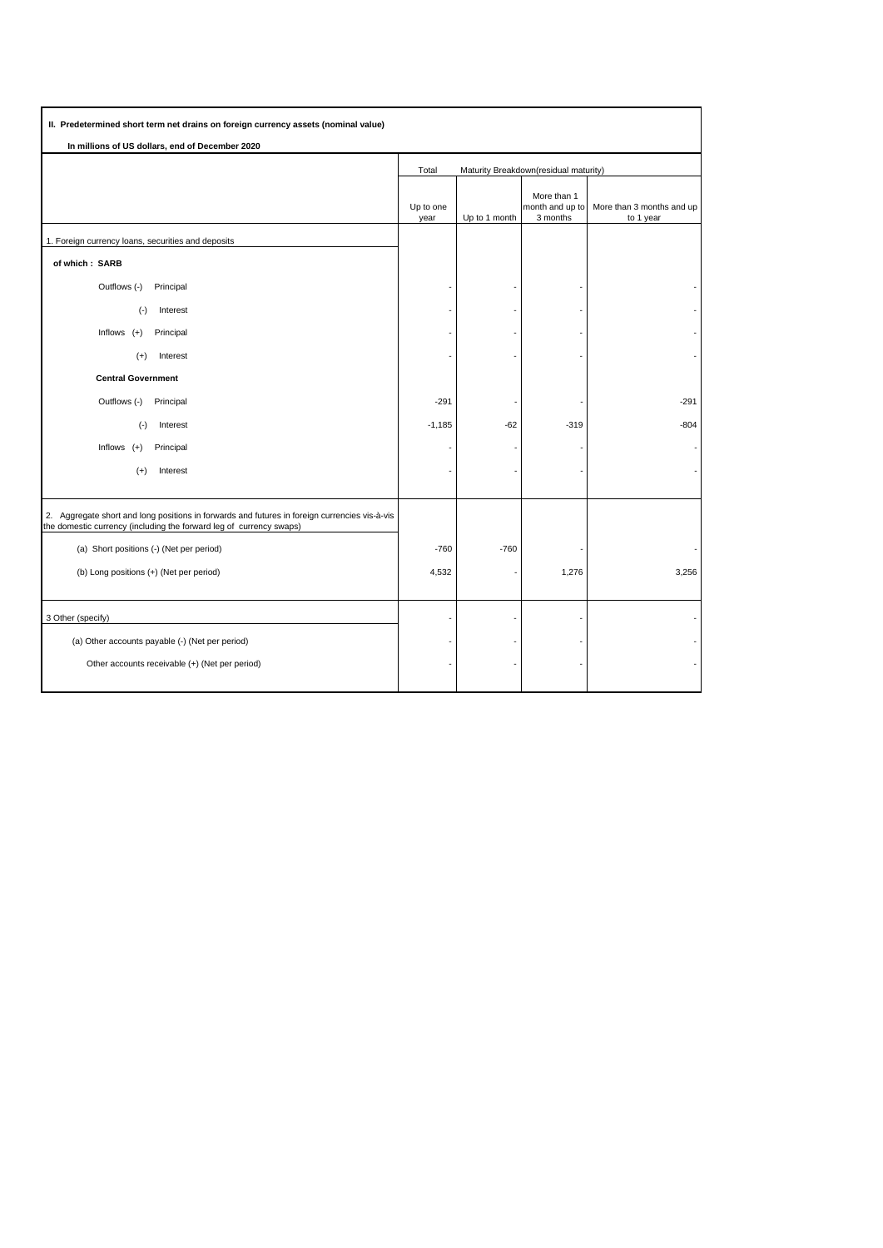| II. Predetermined short term net drains on foreign currency assets (nominal value)                                                                                   |                                                |               |                                            |                                        |
|----------------------------------------------------------------------------------------------------------------------------------------------------------------------|------------------------------------------------|---------------|--------------------------------------------|----------------------------------------|
| In millions of US dollars, end of December 2020                                                                                                                      |                                                |               |                                            |                                        |
|                                                                                                                                                                      | Total<br>Maturity Breakdown(residual maturity) |               |                                            |                                        |
|                                                                                                                                                                      | Up to one<br>year                              | Up to 1 month | More than 1<br>month and up to<br>3 months | More than 3 months and up<br>to 1 year |
| 1. Foreign currency loans, securities and deposits                                                                                                                   |                                                |               |                                            |                                        |
| of which: SARB                                                                                                                                                       |                                                |               |                                            |                                        |
| Outflows (-)<br>Principal                                                                                                                                            |                                                |               |                                            |                                        |
| $(-)$<br>Interest                                                                                                                                                    |                                                |               |                                            |                                        |
| Inflows $(+)$<br>Principal                                                                                                                                           |                                                |               |                                            |                                        |
| Interest<br>$(+)$                                                                                                                                                    |                                                |               |                                            |                                        |
| <b>Central Government</b>                                                                                                                                            |                                                |               |                                            |                                        |
| Outflows (-)<br>Principal                                                                                                                                            | $-291$                                         |               |                                            | $-291$                                 |
| $(\cdot)$<br>Interest                                                                                                                                                | $-1,185$                                       | $-62$         | $-319$                                     | $-804$                                 |
| Inflows $(+)$<br>Principal                                                                                                                                           |                                                |               |                                            |                                        |
| $(+)$<br>Interest                                                                                                                                                    |                                                |               |                                            |                                        |
|                                                                                                                                                                      |                                                |               |                                            |                                        |
| 2. Aggregate short and long positions in forwards and futures in foreign currencies vis-à-vis<br>the domestic currency (including the forward leg of currency swaps) |                                                |               |                                            |                                        |
| (a) Short positions (-) (Net per period)                                                                                                                             | $-760$                                         | $-760$        |                                            |                                        |
| (b) Long positions (+) (Net per period)                                                                                                                              | 4,532                                          |               | 1,276                                      | 3,256                                  |
|                                                                                                                                                                      |                                                |               |                                            |                                        |
| 3 Other (specify)                                                                                                                                                    |                                                |               |                                            |                                        |
| (a) Other accounts payable (-) (Net per period)                                                                                                                      |                                                |               |                                            |                                        |
| Other accounts receivable (+) (Net per period)                                                                                                                       |                                                |               |                                            |                                        |
|                                                                                                                                                                      |                                                |               |                                            |                                        |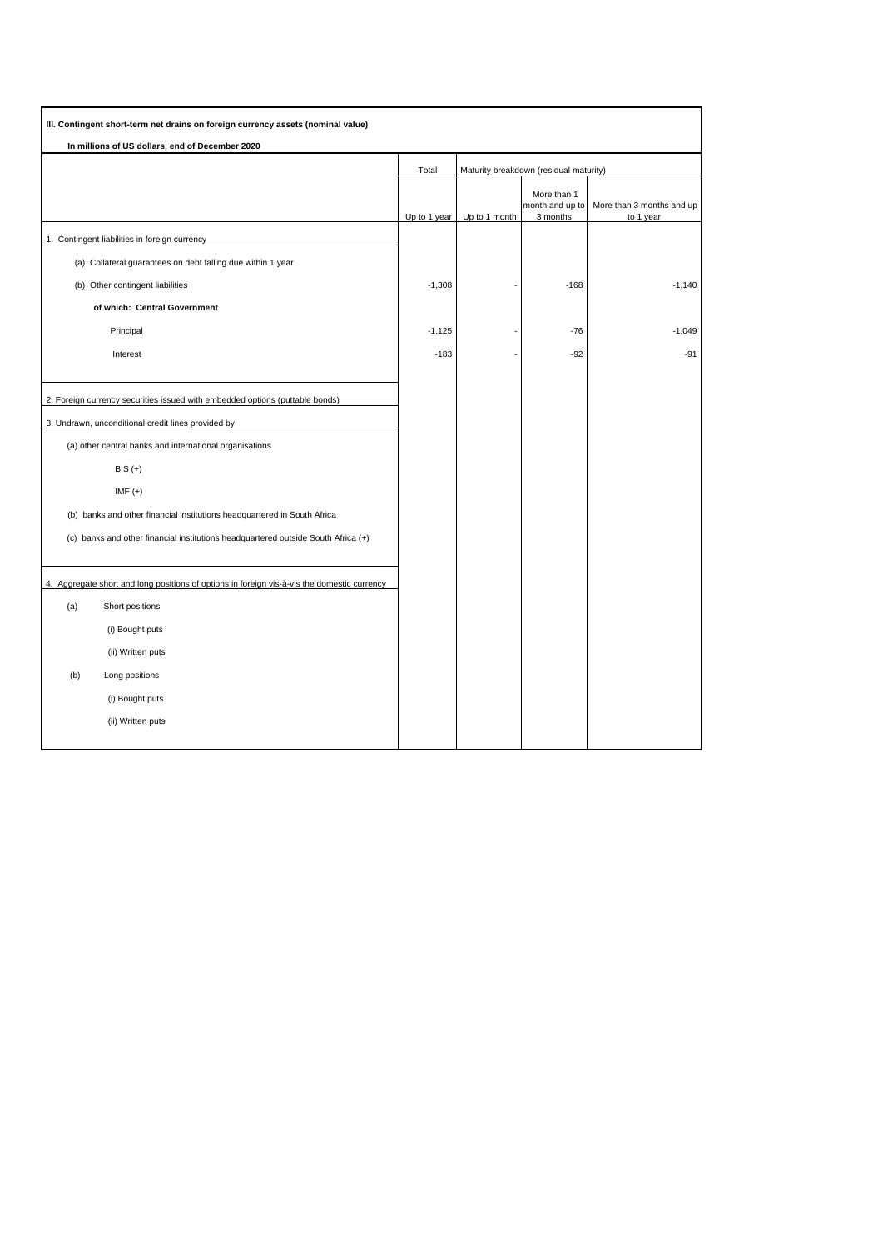| III. Contingent short-term net drains on foreign currency assets (nominal value)            |              |               |                                            |                                        |
|---------------------------------------------------------------------------------------------|--------------|---------------|--------------------------------------------|----------------------------------------|
| In millions of US dollars, end of December 2020                                             |              |               |                                            |                                        |
|                                                                                             | Total        |               | Maturity breakdown (residual maturity)     |                                        |
|                                                                                             | Up to 1 year | Up to 1 month | More than 1<br>month and up to<br>3 months | More than 3 months and up<br>to 1 year |
| 1. Contingent liabilities in foreign currency                                               |              |               |                                            |                                        |
| (a) Collateral guarantees on debt falling due within 1 year                                 |              |               |                                            |                                        |
| (b) Other contingent liabilities                                                            | $-1,308$     |               | $-168$                                     | $-1,140$                               |
| of which: Central Government                                                                |              |               |                                            |                                        |
| Principal                                                                                   | $-1,125$     |               | $-76$                                      | $-1,049$                               |
| Interest                                                                                    | $-183$       |               | $-92$                                      | $-91$                                  |
|                                                                                             |              |               |                                            |                                        |
| 2. Foreign currency securities issued with embedded options (puttable bonds)                |              |               |                                            |                                        |
| 3. Undrawn, unconditional credit lines provided by                                          |              |               |                                            |                                        |
| (a) other central banks and international organisations                                     |              |               |                                            |                                        |
| $BIS (+)$                                                                                   |              |               |                                            |                                        |
| $IMF (+)$                                                                                   |              |               |                                            |                                        |
| (b) banks and other financial institutions headquartered in South Africa                    |              |               |                                            |                                        |
| (c) banks and other financial institutions headquartered outside South Africa (+)           |              |               |                                            |                                        |
|                                                                                             |              |               |                                            |                                        |
| 4. Aggregate short and long positions of options in foreign vis-à-vis the domestic currency |              |               |                                            |                                        |
| (a)<br>Short positions                                                                      |              |               |                                            |                                        |
| (i) Bought puts                                                                             |              |               |                                            |                                        |
| (ii) Written puts                                                                           |              |               |                                            |                                        |
| (b)<br>Long positions                                                                       |              |               |                                            |                                        |
| (i) Bought puts                                                                             |              |               |                                            |                                        |
| (ii) Written puts                                                                           |              |               |                                            |                                        |
|                                                                                             |              |               |                                            |                                        |